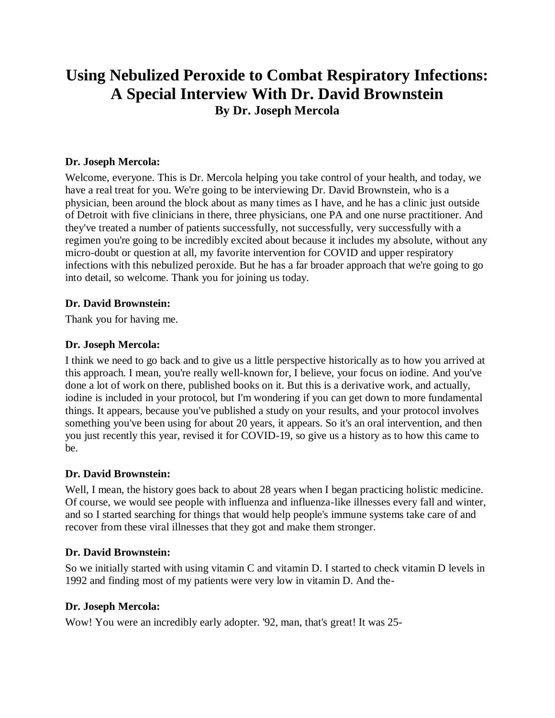# **Using Nebulized Peroxide to Combat Respiratory Infections: A Special Interview With Dr. David Brownstein By Dr. Joseph Mercola**

### **Dr. Joseph Mercola:**

Welcome, everyone. This is Dr. Mercola helping you take control of your health, and today, we have a real treat for you. We're going to be interviewing Dr. David Brownstein, who is a physician, been around the block about as many times as I have, and he has a clinic just outside of Detroit with five clinicians in there, three physicians, one PA and one nurse practitioner. And they've treated a number of patients successfully, not successfully, very successfully with a regimen you're going to be incredibly excited about because it includes my absolute, without any micro-doubt or question at all, my favorite intervention for COVID and upper respiratory infections with this nebulized peroxide. But he has a far broader approach that we're going to go into detail, so welcome. Thank you for joining us today.

### **Dr. David Brownstein:**

Thank you for having me.

### **Dr. Joseph Mercola:**

I think we need to go back and to give us a little perspective historically as to how you arrived at this approach. I mean, you're really well-known for, I believe, your focus on iodine. And you've done a lot of work on there, published books on it. But this is a derivative work, and actually, iodine is included in your protocol, but I'm wondering if you can get down to more fundamental things. It appears, because you've published a study on your results, and your protocol involves something you've been using for about 20 years, it appears. So it's an oral intervention, and then you just recently this year, revised it for COVID-19, so give us a history as to how this came to be.

### **Dr. David Brownstein:**

Well, I mean, the history goes back to about 28 years when I began practicing holistic medicine. Of course, we would see people with influenza and influenza-like illnesses every fall and winter, and so I started searching for things that would help people's immune systems take care of and recover from these viral illnesses that they got and make them stronger.

### **Dr. David Brownstein:**

So we initially started with using vitamin C and vitamin D. I started to check vitamin D levels in 1992 and finding most of my patients were very low in vitamin D. And the-

### **Dr. Joseph Mercola:**

Wow! You were an incredibly early adopter. '92, man, that's great! It was 25-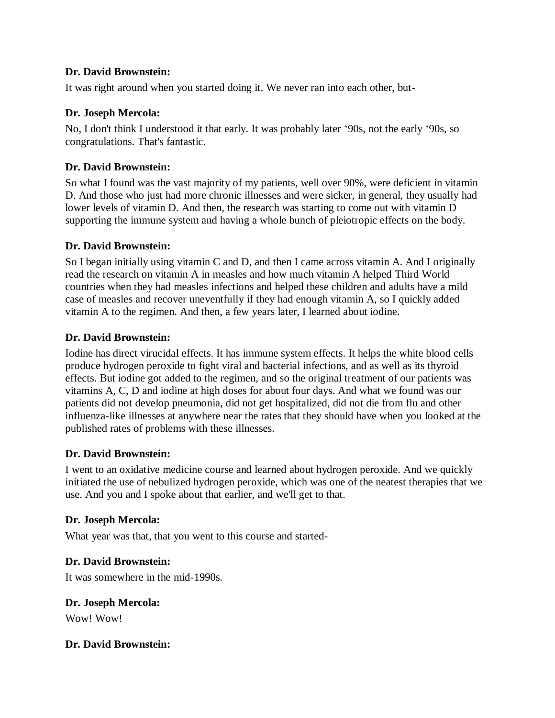### **Dr. David Brownstein:**

It was right around when you started doing it. We never ran into each other, but-

# **Dr. Joseph Mercola:**

No, I don't think I understood it that early. It was probably later '90s, not the early '90s, so congratulations. That's fantastic.

# **Dr. David Brownstein:**

So what I found was the vast majority of my patients, well over 90%, were deficient in vitamin D. And those who just had more chronic illnesses and were sicker, in general, they usually had lower levels of vitamin D. And then, the research was starting to come out with vitamin D supporting the immune system and having a whole bunch of pleiotropic effects on the body.

# **Dr. David Brownstein:**

So I began initially using vitamin C and D, and then I came across vitamin A. And I originally read the research on vitamin A in measles and how much vitamin A helped Third World countries when they had measles infections and helped these children and adults have a mild case of measles and recover uneventfully if they had enough vitamin A, so I quickly added vitamin A to the regimen. And then, a few years later, I learned about iodine.

# **Dr. David Brownstein:**

Iodine has direct virucidal effects. It has immune system effects. It helps the white blood cells produce hydrogen peroxide to fight viral and bacterial infections, and as well as its thyroid effects. But iodine got added to the regimen, and so the original treatment of our patients was vitamins A, C, D and iodine at high doses for about four days. And what we found was our patients did not develop pneumonia, did not get hospitalized, did not die from flu and other influenza-like illnesses at anywhere near the rates that they should have when you looked at the published rates of problems with these illnesses.

# **Dr. David Brownstein:**

I went to an oxidative medicine course and learned about hydrogen peroxide. And we quickly initiated the use of nebulized hydrogen peroxide, which was one of the neatest therapies that we use. And you and I spoke about that earlier, and we'll get to that.

# **Dr. Joseph Mercola:**

What year was that, that you went to this course and started-

### **Dr. David Brownstein:**

It was somewhere in the mid-1990s.

# **Dr. Joseph Mercola:**

Wow! Wow!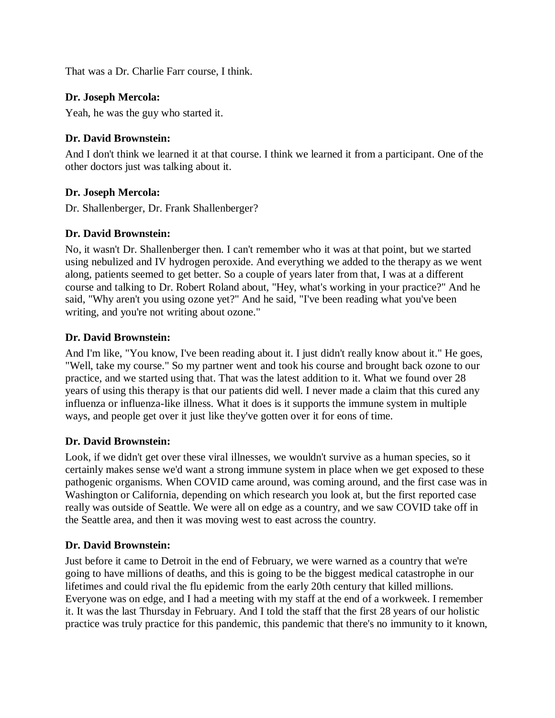That was a Dr. Charlie Farr course, I think.

### **Dr. Joseph Mercola:**

Yeah, he was the guy who started it.

# **Dr. David Brownstein:**

And I don't think we learned it at that course. I think we learned it from a participant. One of the other doctors just was talking about it.

### **Dr. Joseph Mercola:**

Dr. Shallenberger, Dr. Frank Shallenberger?

# **Dr. David Brownstein:**

No, it wasn't Dr. Shallenberger then. I can't remember who it was at that point, but we started using nebulized and IV hydrogen peroxide. And everything we added to the therapy as we went along, patients seemed to get better. So a couple of years later from that, I was at a different course and talking to Dr. Robert Roland about, "Hey, what's working in your practice?" And he said, "Why aren't you using ozone yet?" And he said, "I've been reading what you've been writing, and you're not writing about ozone."

### **Dr. David Brownstein:**

And I'm like, "You know, I've been reading about it. I just didn't really know about it." He goes, "Well, take my course." So my partner went and took his course and brought back ozone to our practice, and we started using that. That was the latest addition to it. What we found over 28 years of using this therapy is that our patients did well. I never made a claim that this cured any influenza or influenza-like illness. What it does is it supports the immune system in multiple ways, and people get over it just like they've gotten over it for eons of time.

### **Dr. David Brownstein:**

Look, if we didn't get over these viral illnesses, we wouldn't survive as a human species, so it certainly makes sense we'd want a strong immune system in place when we get exposed to these pathogenic organisms. When COVID came around, was coming around, and the first case was in Washington or California, depending on which research you look at, but the first reported case really was outside of Seattle. We were all on edge as a country, and we saw COVID take off in the Seattle area, and then it was moving west to east across the country.

### **Dr. David Brownstein:**

Just before it came to Detroit in the end of February, we were warned as a country that we're going to have millions of deaths, and this is going to be the biggest medical catastrophe in our lifetimes and could rival the flu epidemic from the early 20th century that killed millions. Everyone was on edge, and I had a meeting with my staff at the end of a workweek. I remember it. It was the last Thursday in February. And I told the staff that the first 28 years of our holistic practice was truly practice for this pandemic, this pandemic that there's no immunity to it known,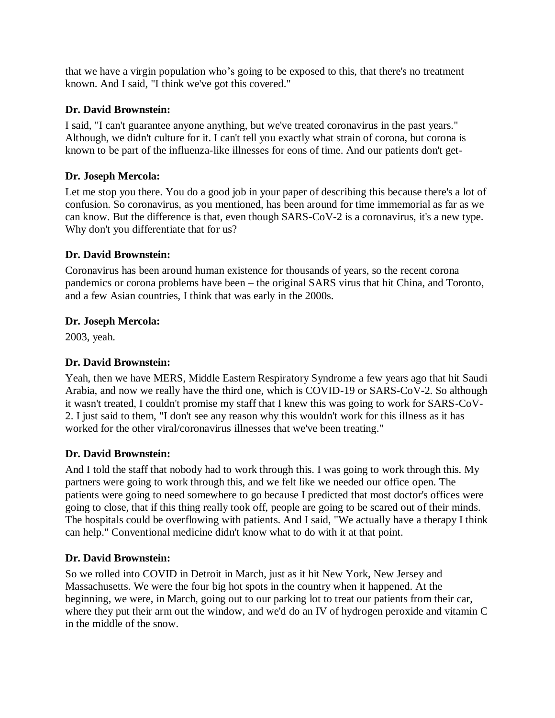that we have a virgin population who's going to be exposed to this, that there's no treatment known. And I said, "I think we've got this covered."

### **Dr. David Brownstein:**

I said, "I can't guarantee anyone anything, but we've treated coronavirus in the past years." Although, we didn't culture for it. I can't tell you exactly what strain of corona, but corona is known to be part of the influenza-like illnesses for eons of time. And our patients don't get-

# **Dr. Joseph Mercola:**

Let me stop you there. You do a good job in your paper of describing this because there's a lot of confusion. So coronavirus, as you mentioned, has been around for time immemorial as far as we can know. But the difference is that, even though SARS-CoV-2 is a coronavirus, it's a new type. Why don't you differentiate that for us?

# **Dr. David Brownstein:**

Coronavirus has been around human existence for thousands of years, so the recent corona pandemics or corona problems have been – the original SARS virus that hit China, and Toronto, and a few Asian countries, I think that was early in the 2000s.

# **Dr. Joseph Mercola:**

2003, yeah.

# **Dr. David Brownstein:**

Yeah, then we have MERS, Middle Eastern Respiratory Syndrome a few years ago that hit Saudi Arabia, and now we really have the third one, which is COVID-19 or SARS-CoV-2. So although it wasn't treated, I couldn't promise my staff that I knew this was going to work for SARS-CoV-2. I just said to them, "I don't see any reason why this wouldn't work for this illness as it has worked for the other viral/coronavirus illnesses that we've been treating."

# **Dr. David Brownstein:**

And I told the staff that nobody had to work through this. I was going to work through this. My partners were going to work through this, and we felt like we needed our office open. The patients were going to need somewhere to go because I predicted that most doctor's offices were going to close, that if this thing really took off, people are going to be scared out of their minds. The hospitals could be overflowing with patients. And I said, "We actually have a therapy I think can help." Conventional medicine didn't know what to do with it at that point.

# **Dr. David Brownstein:**

So we rolled into COVID in Detroit in March, just as it hit New York, New Jersey and Massachusetts. We were the four big hot spots in the country when it happened. At the beginning, we were, in March, going out to our parking lot to treat our patients from their car, where they put their arm out the window, and we'd do an IV of hydrogen peroxide and vitamin C in the middle of the snow.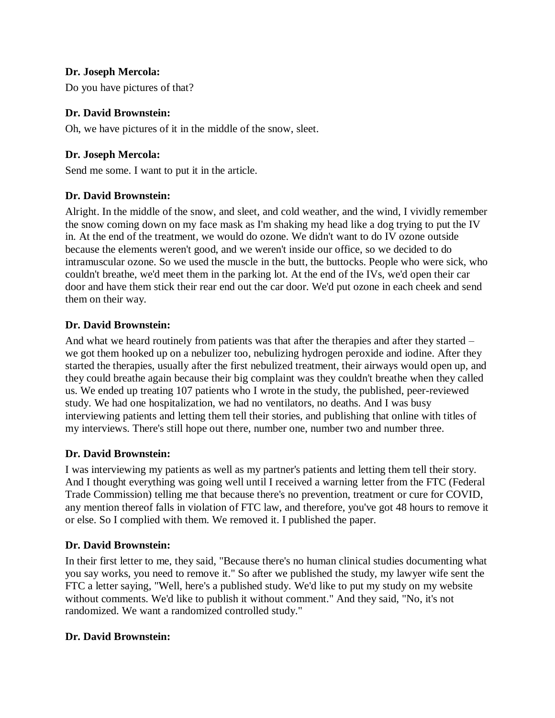Do you have pictures of that?

### **Dr. David Brownstein:**

Oh, we have pictures of it in the middle of the snow, sleet.

# **Dr. Joseph Mercola:**

Send me some. I want to put it in the article.

# **Dr. David Brownstein:**

Alright. In the middle of the snow, and sleet, and cold weather, and the wind, I vividly remember the snow coming down on my face mask as I'm shaking my head like a dog trying to put the IV in. At the end of the treatment, we would do ozone. We didn't want to do IV ozone outside because the elements weren't good, and we weren't inside our office, so we decided to do intramuscular ozone. So we used the muscle in the butt, the buttocks. People who were sick, who couldn't breathe, we'd meet them in the parking lot. At the end of the IVs, we'd open their car door and have them stick their rear end out the car door. We'd put ozone in each cheek and send them on their way.

### **Dr. David Brownstein:**

And what we heard routinely from patients was that after the therapies and after they started – we got them hooked up on a nebulizer too, nebulizing hydrogen peroxide and iodine. After they started the therapies, usually after the first nebulized treatment, their airways would open up, and they could breathe again because their big complaint was they couldn't breathe when they called us. We ended up treating 107 patients who I wrote in the study, the published, peer-reviewed study. We had one hospitalization, we had no ventilators, no deaths. And I was busy interviewing patients and letting them tell their stories, and publishing that online with titles of my interviews. There's still hope out there, number one, number two and number three.

### **Dr. David Brownstein:**

I was interviewing my patients as well as my partner's patients and letting them tell their story. And I thought everything was going well until I received a warning letter from the FTC (Federal Trade Commission) telling me that because there's no prevention, treatment or cure for COVID, any mention thereof falls in violation of FTC law, and therefore, you've got 48 hours to remove it or else. So I complied with them. We removed it. I published the paper.

### **Dr. David Brownstein:**

In their first letter to me, they said, "Because there's no human clinical studies documenting what you say works, you need to remove it." So after we published the study, my lawyer wife sent the FTC a letter saying, "Well, here's a published study. We'd like to put my study on my website without comments. We'd like to publish it without comment." And they said, "No, it's not randomized. We want a randomized controlled study."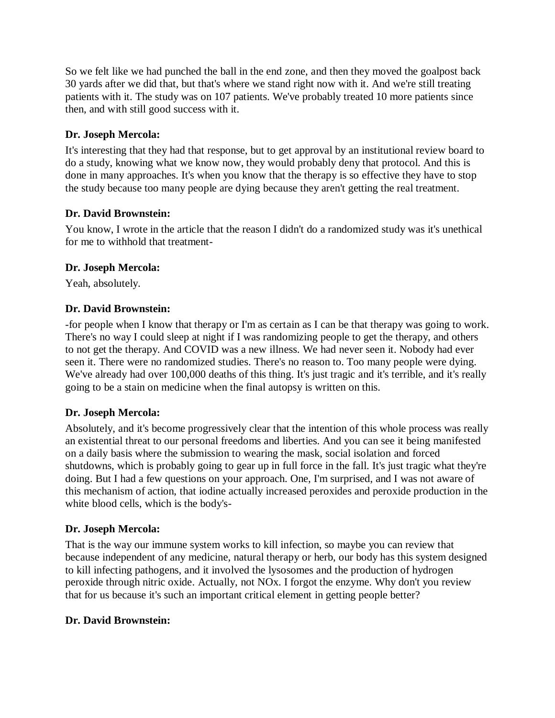So we felt like we had punched the ball in the end zone, and then they moved the goalpost back 30 yards after we did that, but that's where we stand right now with it. And we're still treating patients with it. The study was on 107 patients. We've probably treated 10 more patients since then, and with still good success with it.

### **Dr. Joseph Mercola:**

It's interesting that they had that response, but to get approval by an institutional review board to do a study, knowing what we know now, they would probably deny that protocol. And this is done in many approaches. It's when you know that the therapy is so effective they have to stop the study because too many people are dying because they aren't getting the real treatment.

# **Dr. David Brownstein:**

You know, I wrote in the article that the reason I didn't do a randomized study was it's unethical for me to withhold that treatment-

# **Dr. Joseph Mercola:**

Yeah, absolutely.

# **Dr. David Brownstein:**

-for people when I know that therapy or I'm as certain as I can be that therapy was going to work. There's no way I could sleep at night if I was randomizing people to get the therapy, and others to not get the therapy. And COVID was a new illness. We had never seen it. Nobody had ever seen it. There were no randomized studies. There's no reason to. Too many people were dying. We've already had over 100,000 deaths of this thing. It's just tragic and it's terrible, and it's really going to be a stain on medicine when the final autopsy is written on this.

# **Dr. Joseph Mercola:**

Absolutely, and it's become progressively clear that the intention of this whole process was really an existential threat to our personal freedoms and liberties. And you can see it being manifested on a daily basis where the submission to wearing the mask, social isolation and forced shutdowns, which is probably going to gear up in full force in the fall. It's just tragic what they're doing. But I had a few questions on your approach. One, I'm surprised, and I was not aware of this mechanism of action, that iodine actually increased peroxides and peroxide production in the white blood cells, which is the body's-

# **Dr. Joseph Mercola:**

That is the way our immune system works to kill infection, so maybe you can review that because independent of any medicine, natural therapy or herb, our body has this system designed to kill infecting pathogens, and it involved the lysosomes and the production of hydrogen peroxide through nitric oxide. Actually, not NOx. I forgot the enzyme. Why don't you review that for us because it's such an important critical element in getting people better?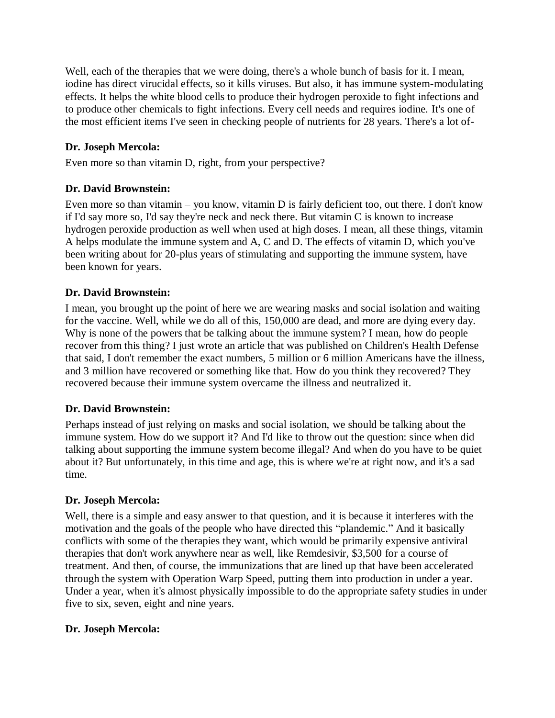Well, each of the therapies that we were doing, there's a whole bunch of basis for it. I mean, iodine has direct virucidal effects, so it kills viruses. But also, it has immune system-modulating effects. It helps the white blood cells to produce their hydrogen peroxide to fight infections and to produce other chemicals to fight infections. Every cell needs and requires iodine. It's one of the most efficient items I've seen in checking people of nutrients for 28 years. There's a lot of-

# **Dr. Joseph Mercola:**

Even more so than vitamin D, right, from your perspective?

# **Dr. David Brownstein:**

Even more so than vitamin – you know, vitamin D is fairly deficient too, out there. I don't know if I'd say more so, I'd say they're neck and neck there. But vitamin C is known to increase hydrogen peroxide production as well when used at high doses. I mean, all these things, vitamin A helps modulate the immune system and A, C and D. The effects of vitamin D, which you've been writing about for 20-plus years of stimulating and supporting the immune system, have been known for years.

# **Dr. David Brownstein:**

I mean, you brought up the point of here we are wearing masks and social isolation and waiting for the vaccine. Well, while we do all of this, 150,000 are dead, and more are dying every day. Why is none of the powers that be talking about the immune system? I mean, how do people recover from this thing? I just wrote an article that was published on Children's Health Defense that said, I don't remember the exact numbers, 5 million or 6 million Americans have the illness, and 3 million have recovered or something like that. How do you think they recovered? They recovered because their immune system overcame the illness and neutralized it.

### **Dr. David Brownstein:**

Perhaps instead of just relying on masks and social isolation, we should be talking about the immune system. How do we support it? And I'd like to throw out the question: since when did talking about supporting the immune system become illegal? And when do you have to be quiet about it? But unfortunately, in this time and age, this is where we're at right now, and it's a sad time.

### **Dr. Joseph Mercola:**

Well, there is a simple and easy answer to that question, and it is because it interferes with the motivation and the goals of the people who have directed this "plandemic." And it basically conflicts with some of the therapies they want, which would be primarily expensive antiviral therapies that don't work anywhere near as well, like Remdesivir, \$3,500 for a course of treatment. And then, of course, the immunizations that are lined up that have been accelerated through the system with Operation Warp Speed, putting them into production in under a year. Under a year, when it's almost physically impossible to do the appropriate safety studies in under five to six, seven, eight and nine years.

### **Dr. Joseph Mercola:**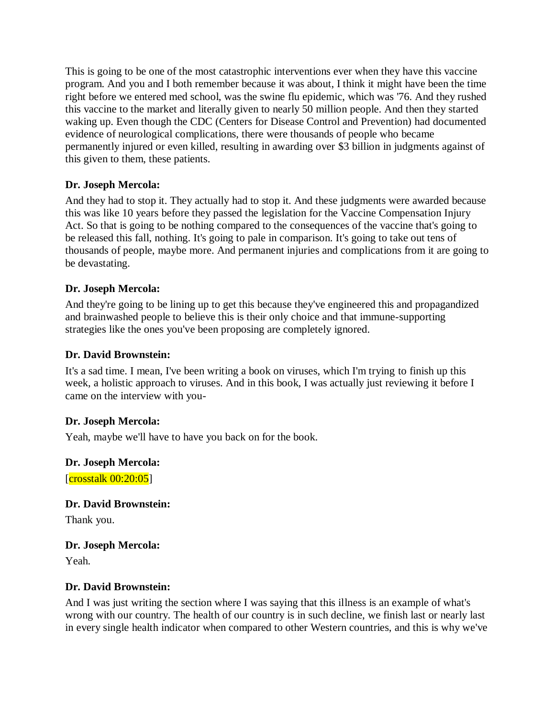This is going to be one of the most catastrophic interventions ever when they have this vaccine program. And you and I both remember because it was about, I think it might have been the time right before we entered med school, was the swine flu epidemic, which was '76. And they rushed this vaccine to the market and literally given to nearly 50 million people. And then they started waking up. Even though the CDC (Centers for Disease Control and Prevention) had documented evidence of neurological complications, there were thousands of people who became permanently injured or even killed, resulting in awarding over \$3 billion in judgments against of this given to them, these patients.

### **Dr. Joseph Mercola:**

And they had to stop it. They actually had to stop it. And these judgments were awarded because this was like 10 years before they passed the legislation for the Vaccine Compensation Injury Act. So that is going to be nothing compared to the consequences of the vaccine that's going to be released this fall, nothing. It's going to pale in comparison. It's going to take out tens of thousands of people, maybe more. And permanent injuries and complications from it are going to be devastating.

# **Dr. Joseph Mercola:**

And they're going to be lining up to get this because they've engineered this and propagandized and brainwashed people to believe this is their only choice and that immune-supporting strategies like the ones you've been proposing are completely ignored.

# **Dr. David Brownstein:**

It's a sad time. I mean, I've been writing a book on viruses, which I'm trying to finish up this week, a holistic approach to viruses. And in this book, I was actually just reviewing it before I came on the interview with you-

### **Dr. Joseph Mercola:**

Yeah, maybe we'll have to have you back on for the book.

### **Dr. Joseph Mercola:**

[crosstalk 00:20:05]

# **Dr. David Brownstein:**

Thank you.

### **Dr. Joseph Mercola:**

Yeah.

### **Dr. David Brownstein:**

And I was just writing the section where I was saying that this illness is an example of what's wrong with our country. The health of our country is in such decline, we finish last or nearly last in every single health indicator when compared to other Western countries, and this is why we've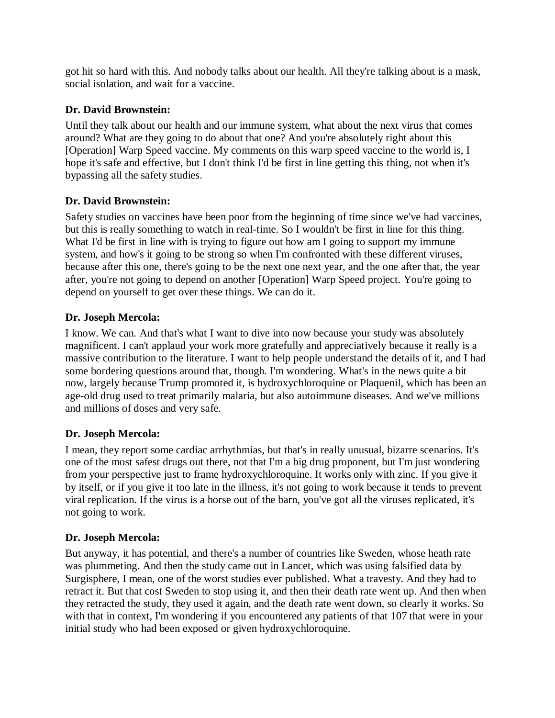got hit so hard with this. And nobody talks about our health. All they're talking about is a mask, social isolation, and wait for a vaccine.

### **Dr. David Brownstein:**

Until they talk about our health and our immune system, what about the next virus that comes around? What are they going to do about that one? And you're absolutely right about this [Operation] Warp Speed vaccine. My comments on this warp speed vaccine to the world is, I hope it's safe and effective, but I don't think I'd be first in line getting this thing, not when it's bypassing all the safety studies.

### **Dr. David Brownstein:**

Safety studies on vaccines have been poor from the beginning of time since we've had vaccines, but this is really something to watch in real-time. So I wouldn't be first in line for this thing. What I'd be first in line with is trying to figure out how am I going to support my immune system, and how's it going to be strong so when I'm confronted with these different viruses, because after this one, there's going to be the next one next year, and the one after that, the year after, you're not going to depend on another [Operation] Warp Speed project. You're going to depend on yourself to get over these things. We can do it.

# **Dr. Joseph Mercola:**

I know. We can. And that's what I want to dive into now because your study was absolutely magnificent. I can't applaud your work more gratefully and appreciatively because it really is a massive contribution to the literature. I want to help people understand the details of it, and I had some bordering questions around that, though. I'm wondering. What's in the news quite a bit now, largely because Trump promoted it, is hydroxychloroquine or Plaquenil, which has been an age-old drug used to treat primarily malaria, but also autoimmune diseases. And we've millions and millions of doses and very safe.

### **Dr. Joseph Mercola:**

I mean, they report some cardiac arrhythmias, but that's in really unusual, bizarre scenarios. It's one of the most safest drugs out there, not that I'm a big drug proponent, but I'm just wondering from your perspective just to frame hydroxychloroquine. It works only with zinc. If you give it by itself, or if you give it too late in the illness, it's not going to work because it tends to prevent viral replication. If the virus is a horse out of the barn, you've got all the viruses replicated, it's not going to work.

### **Dr. Joseph Mercola:**

But anyway, it has potential, and there's a number of countries like Sweden, whose heath rate was plummeting. And then the study came out in Lancet, which was using falsified data by Surgisphere, I mean, one of the worst studies ever published. What a travesty. And they had to retract it. But that cost Sweden to stop using it, and then their death rate went up. And then when they retracted the study, they used it again, and the death rate went down, so clearly it works. So with that in context, I'm wondering if you encountered any patients of that 107 that were in your initial study who had been exposed or given hydroxychloroquine.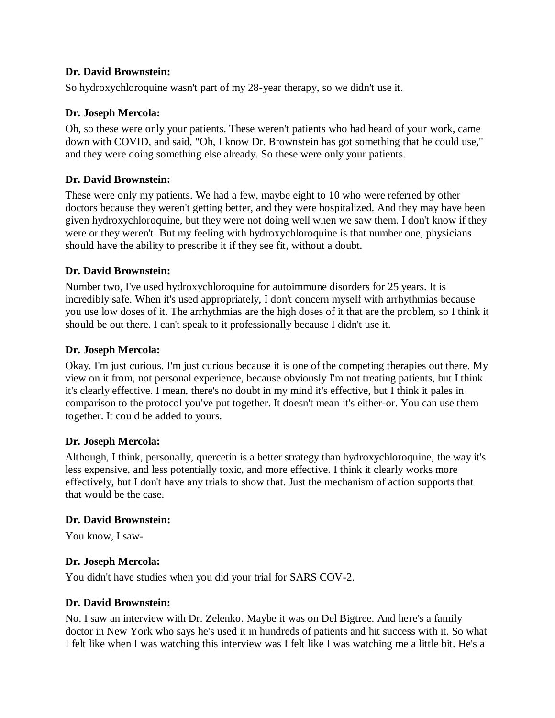### **Dr. David Brownstein:**

So hydroxychloroquine wasn't part of my 28-year therapy, so we didn't use it.

### **Dr. Joseph Mercola:**

Oh, so these were only your patients. These weren't patients who had heard of your work, came down with COVID, and said, "Oh, I know Dr. Brownstein has got something that he could use," and they were doing something else already. So these were only your patients.

### **Dr. David Brownstein:**

These were only my patients. We had a few, maybe eight to 10 who were referred by other doctors because they weren't getting better, and they were hospitalized. And they may have been given hydroxychloroquine, but they were not doing well when we saw them. I don't know if they were or they weren't. But my feeling with hydroxychloroquine is that number one, physicians should have the ability to prescribe it if they see fit, without a doubt.

### **Dr. David Brownstein:**

Number two, I've used hydroxychloroquine for autoimmune disorders for 25 years. It is incredibly safe. When it's used appropriately, I don't concern myself with arrhythmias because you use low doses of it. The arrhythmias are the high doses of it that are the problem, so I think it should be out there. I can't speak to it professionally because I didn't use it.

### **Dr. Joseph Mercola:**

Okay. I'm just curious. I'm just curious because it is one of the competing therapies out there. My view on it from, not personal experience, because obviously I'm not treating patients, but I think it's clearly effective. I mean, there's no doubt in my mind it's effective, but I think it pales in comparison to the protocol you've put together. It doesn't mean it's either-or. You can use them together. It could be added to yours.

### **Dr. Joseph Mercola:**

Although, I think, personally, quercetin is a better strategy than hydroxychloroquine, the way it's less expensive, and less potentially toxic, and more effective. I think it clearly works more effectively, but I don't have any trials to show that. Just the mechanism of action supports that that would be the case.

### **Dr. David Brownstein:**

You know, I saw-

### **Dr. Joseph Mercola:**

You didn't have studies when you did your trial for SARS COV-2.

### **Dr. David Brownstein:**

No. I saw an interview with Dr. Zelenko. Maybe it was on Del Bigtree. And here's a family doctor in New York who says he's used it in hundreds of patients and hit success with it. So what I felt like when I was watching this interview was I felt like I was watching me a little bit. He's a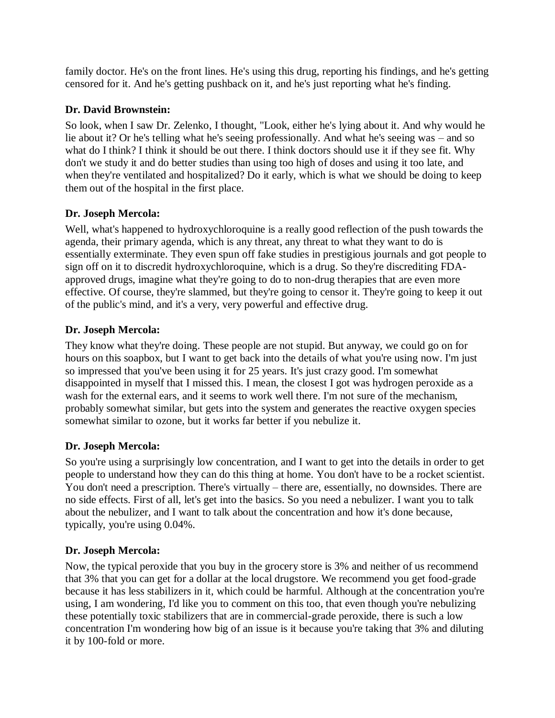family doctor. He's on the front lines. He's using this drug, reporting his findings, and he's getting censored for it. And he's getting pushback on it, and he's just reporting what he's finding.

# **Dr. David Brownstein:**

So look, when I saw Dr. Zelenko, I thought, "Look, either he's lying about it. And why would he lie about it? Or he's telling what he's seeing professionally. And what he's seeing was – and so what do I think? I think it should be out there. I think doctors should use it if they see fit. Why don't we study it and do better studies than using too high of doses and using it too late, and when they're ventilated and hospitalized? Do it early, which is what we should be doing to keep them out of the hospital in the first place.

# **Dr. Joseph Mercola:**

Well, what's happened to hydroxychloroquine is a really good reflection of the push towards the agenda, their primary agenda, which is any threat, any threat to what they want to do is essentially exterminate. They even spun off fake studies in prestigious journals and got people to sign off on it to discredit hydroxychloroquine, which is a drug. So they're discrediting FDAapproved drugs, imagine what they're going to do to non-drug therapies that are even more effective. Of course, they're slammed, but they're going to censor it. They're going to keep it out of the public's mind, and it's a very, very powerful and effective drug.

# **Dr. Joseph Mercola:**

They know what they're doing. These people are not stupid. But anyway, we could go on for hours on this soapbox, but I want to get back into the details of what you're using now. I'm just so impressed that you've been using it for 25 years. It's just crazy good. I'm somewhat disappointed in myself that I missed this. I mean, the closest I got was hydrogen peroxide as a wash for the external ears, and it seems to work well there. I'm not sure of the mechanism, probably somewhat similar, but gets into the system and generates the reactive oxygen species somewhat similar to ozone, but it works far better if you nebulize it.

# **Dr. Joseph Mercola:**

So you're using a surprisingly low concentration, and I want to get into the details in order to get people to understand how they can do this thing at home. You don't have to be a rocket scientist. You don't need a prescription. There's virtually – there are, essentially, no downsides. There are no side effects. First of all, let's get into the basics. So you need a nebulizer. I want you to talk about the nebulizer, and I want to talk about the concentration and how it's done because, typically, you're using 0.04%.

# **Dr. Joseph Mercola:**

Now, the typical peroxide that you buy in the grocery store is 3% and neither of us recommend that 3% that you can get for a dollar at the local drugstore. We recommend you get food-grade because it has less stabilizers in it, which could be harmful. Although at the concentration you're using, I am wondering, I'd like you to comment on this too, that even though you're nebulizing these potentially toxic stabilizers that are in commercial-grade peroxide, there is such a low concentration I'm wondering how big of an issue is it because you're taking that 3% and diluting it by 100-fold or more.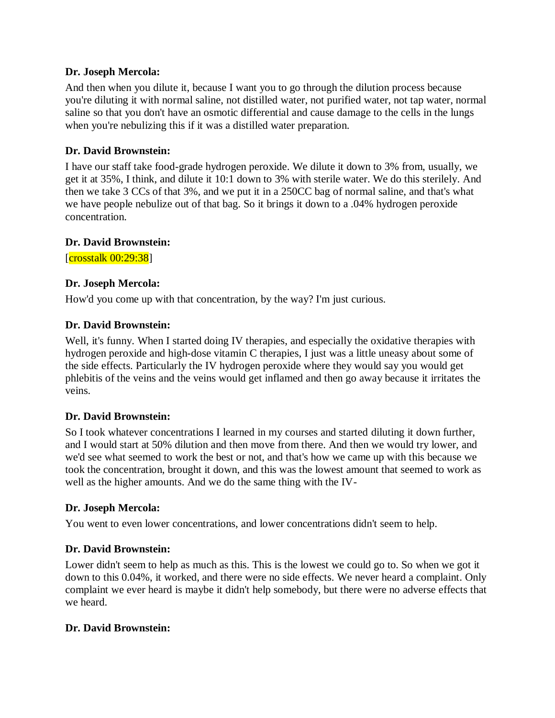And then when you dilute it, because I want you to go through the dilution process because you're diluting it with normal saline, not distilled water, not purified water, not tap water, normal saline so that you don't have an osmotic differential and cause damage to the cells in the lungs when you're nebulizing this if it was a distilled water preparation.

### **Dr. David Brownstein:**

I have our staff take food-grade hydrogen peroxide. We dilute it down to 3% from, usually, we get it at 35%, I think, and dilute it 10:1 down to 3% with sterile water. We do this sterilely. And then we take 3 CCs of that 3%, and we put it in a 250CC bag of normal saline, and that's what we have people nebulize out of that bag. So it brings it down to a .04% hydrogen peroxide concentration.

### **Dr. David Brownstein:**

[crosstalk 00:29:38]

### **Dr. Joseph Mercola:**

How'd you come up with that concentration, by the way? I'm just curious.

### **Dr. David Brownstein:**

Well, it's funny. When I started doing IV therapies, and especially the oxidative therapies with hydrogen peroxide and high-dose vitamin C therapies, I just was a little uneasy about some of the side effects. Particularly the IV hydrogen peroxide where they would say you would get phlebitis of the veins and the veins would get inflamed and then go away because it irritates the veins.

### **Dr. David Brownstein:**

So I took whatever concentrations I learned in my courses and started diluting it down further, and I would start at 50% dilution and then move from there. And then we would try lower, and we'd see what seemed to work the best or not, and that's how we came up with this because we took the concentration, brought it down, and this was the lowest amount that seemed to work as well as the higher amounts. And we do the same thing with the IV-

### **Dr. Joseph Mercola:**

You went to even lower concentrations, and lower concentrations didn't seem to help.

### **Dr. David Brownstein:**

Lower didn't seem to help as much as this. This is the lowest we could go to. So when we got it down to this 0.04%, it worked, and there were no side effects. We never heard a complaint. Only complaint we ever heard is maybe it didn't help somebody, but there were no adverse effects that we heard.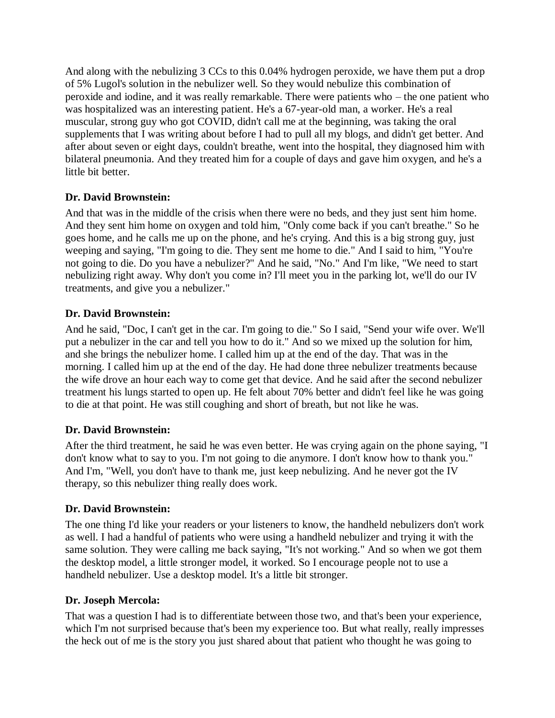And along with the nebulizing 3 CCs to this 0.04% hydrogen peroxide, we have them put a drop of 5% Lugol's solution in the nebulizer well. So they would nebulize this combination of peroxide and iodine, and it was really remarkable. There were patients who – the one patient who was hospitalized was an interesting patient. He's a 67-year-old man, a worker. He's a real muscular, strong guy who got COVID, didn't call me at the beginning, was taking the oral supplements that I was writing about before I had to pull all my blogs, and didn't get better. And after about seven or eight days, couldn't breathe, went into the hospital, they diagnosed him with bilateral pneumonia. And they treated him for a couple of days and gave him oxygen, and he's a little bit better.

# **Dr. David Brownstein:**

And that was in the middle of the crisis when there were no beds, and they just sent him home. And they sent him home on oxygen and told him, "Only come back if you can't breathe." So he goes home, and he calls me up on the phone, and he's crying. And this is a big strong guy, just weeping and saying, "I'm going to die. They sent me home to die." And I said to him, "You're not going to die. Do you have a nebulizer?" And he said, "No." And I'm like, "We need to start nebulizing right away. Why don't you come in? I'll meet you in the parking lot, we'll do our IV treatments, and give you a nebulizer."

# **Dr. David Brownstein:**

And he said, "Doc, I can't get in the car. I'm going to die." So I said, "Send your wife over. We'll put a nebulizer in the car and tell you how to do it." And so we mixed up the solution for him, and she brings the nebulizer home. I called him up at the end of the day. That was in the morning. I called him up at the end of the day. He had done three nebulizer treatments because the wife drove an hour each way to come get that device. And he said after the second nebulizer treatment his lungs started to open up. He felt about 70% better and didn't feel like he was going to die at that point. He was still coughing and short of breath, but not like he was.

# **Dr. David Brownstein:**

After the third treatment, he said he was even better. He was crying again on the phone saying, "I don't know what to say to you. I'm not going to die anymore. I don't know how to thank you." And I'm, "Well, you don't have to thank me, just keep nebulizing. And he never got the IV therapy, so this nebulizer thing really does work.

### **Dr. David Brownstein:**

The one thing I'd like your readers or your listeners to know, the handheld nebulizers don't work as well. I had a handful of patients who were using a handheld nebulizer and trying it with the same solution. They were calling me back saying, "It's not working." And so when we got them the desktop model, a little stronger model, it worked. So I encourage people not to use a handheld nebulizer. Use a desktop model. It's a little bit stronger.

### **Dr. Joseph Mercola:**

That was a question I had is to differentiate between those two, and that's been your experience, which I'm not surprised because that's been my experience too. But what really, really impresses the heck out of me is the story you just shared about that patient who thought he was going to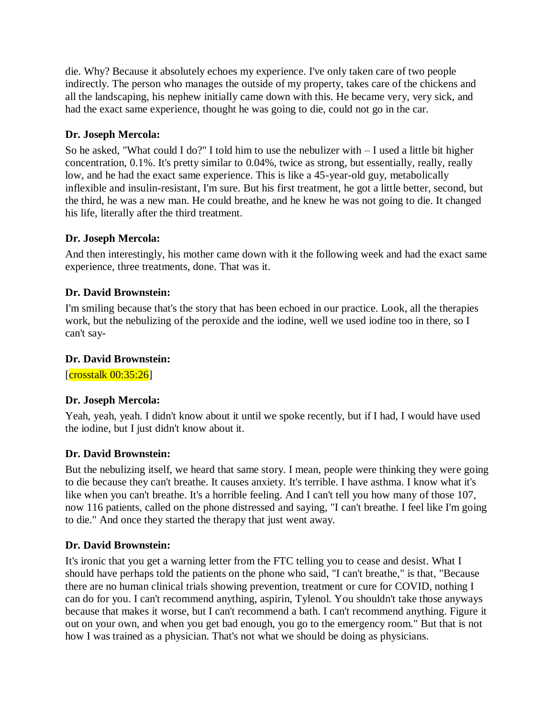die. Why? Because it absolutely echoes my experience. I've only taken care of two people indirectly. The person who manages the outside of my property, takes care of the chickens and all the landscaping, his nephew initially came down with this. He became very, very sick, and had the exact same experience, thought he was going to die, could not go in the car.

### **Dr. Joseph Mercola:**

So he asked, "What could I do?" I told him to use the nebulizer with  $-I$  used a little bit higher concentration, 0.1%. It's pretty similar to 0.04%, twice as strong, but essentially, really, really low, and he had the exact same experience. This is like a 45-year-old guy, metabolically inflexible and insulin-resistant, I'm sure. But his first treatment, he got a little better, second, but the third, he was a new man. He could breathe, and he knew he was not going to die. It changed his life, literally after the third treatment.

# **Dr. Joseph Mercola:**

And then interestingly, his mother came down with it the following week and had the exact same experience, three treatments, done. That was it.

# **Dr. David Brownstein:**

I'm smiling because that's the story that has been echoed in our practice. Look, all the therapies work, but the nebulizing of the peroxide and the iodine, well we used iodine too in there, so I can't say-

### **Dr. David Brownstein:**

 $[{\rm crosstalk~00:35:26}]$ 

### **Dr. Joseph Mercola:**

Yeah, yeah, yeah. I didn't know about it until we spoke recently, but if I had, I would have used the iodine, but I just didn't know about it.

### **Dr. David Brownstein:**

But the nebulizing itself, we heard that same story. I mean, people were thinking they were going to die because they can't breathe. It causes anxiety. It's terrible. I have asthma. I know what it's like when you can't breathe. It's a horrible feeling. And I can't tell you how many of those 107, now 116 patients, called on the phone distressed and saying, "I can't breathe. I feel like I'm going to die." And once they started the therapy that just went away.

### **Dr. David Brownstein:**

It's ironic that you get a warning letter from the FTC telling you to cease and desist. What I should have perhaps told the patients on the phone who said, "I can't breathe," is that, "Because there are no human clinical trials showing prevention, treatment or cure for COVID, nothing I can do for you. I can't recommend anything, aspirin, Tylenol. You shouldn't take those anyways because that makes it worse, but I can't recommend a bath. I can't recommend anything. Figure it out on your own, and when you get bad enough, you go to the emergency room." But that is not how I was trained as a physician. That's not what we should be doing as physicians.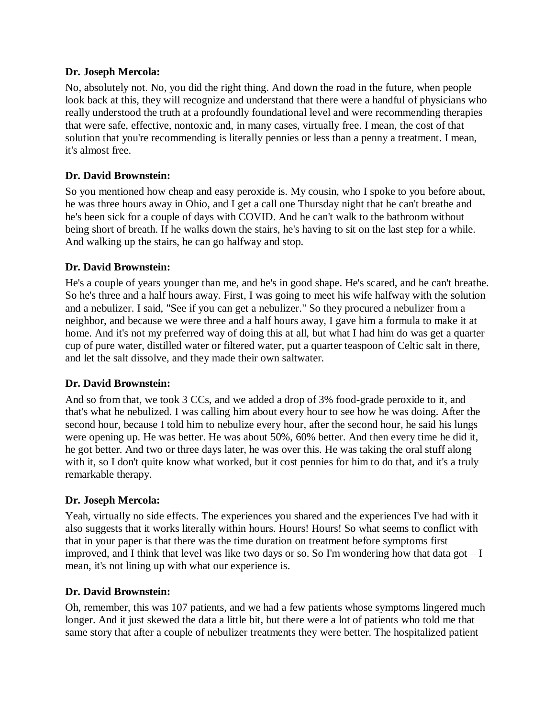No, absolutely not. No, you did the right thing. And down the road in the future, when people look back at this, they will recognize and understand that there were a handful of physicians who really understood the truth at a profoundly foundational level and were recommending therapies that were safe, effective, nontoxic and, in many cases, virtually free. I mean, the cost of that solution that you're recommending is literally pennies or less than a penny a treatment. I mean, it's almost free.

## **Dr. David Brownstein:**

So you mentioned how cheap and easy peroxide is. My cousin, who I spoke to you before about, he was three hours away in Ohio, and I get a call one Thursday night that he can't breathe and he's been sick for a couple of days with COVID. And he can't walk to the bathroom without being short of breath. If he walks down the stairs, he's having to sit on the last step for a while. And walking up the stairs, he can go halfway and stop.

### **Dr. David Brownstein:**

He's a couple of years younger than me, and he's in good shape. He's scared, and he can't breathe. So he's three and a half hours away. First, I was going to meet his wife halfway with the solution and a nebulizer. I said, "See if you can get a nebulizer." So they procured a nebulizer from a neighbor, and because we were three and a half hours away, I gave him a formula to make it at home. And it's not my preferred way of doing this at all, but what I had him do was get a quarter cup of pure water, distilled water or filtered water, put a quarter teaspoon of Celtic salt in there, and let the salt dissolve, and they made their own saltwater.

### **Dr. David Brownstein:**

And so from that, we took 3 CCs, and we added a drop of 3% food-grade peroxide to it, and that's what he nebulized. I was calling him about every hour to see how he was doing. After the second hour, because I told him to nebulize every hour, after the second hour, he said his lungs were opening up. He was better. He was about 50%, 60% better. And then every time he did it, he got better. And two or three days later, he was over this. He was taking the oral stuff along with it, so I don't quite know what worked, but it cost pennies for him to do that, and it's a truly remarkable therapy.

### **Dr. Joseph Mercola:**

Yeah, virtually no side effects. The experiences you shared and the experiences I've had with it also suggests that it works literally within hours. Hours! Hours! So what seems to conflict with that in your paper is that there was the time duration on treatment before symptoms first improved, and I think that level was like two days or so. So I'm wondering how that data got  $-I$ mean, it's not lining up with what our experience is.

### **Dr. David Brownstein:**

Oh, remember, this was 107 patients, and we had a few patients whose symptoms lingered much longer. And it just skewed the data a little bit, but there were a lot of patients who told me that same story that after a couple of nebulizer treatments they were better. The hospitalized patient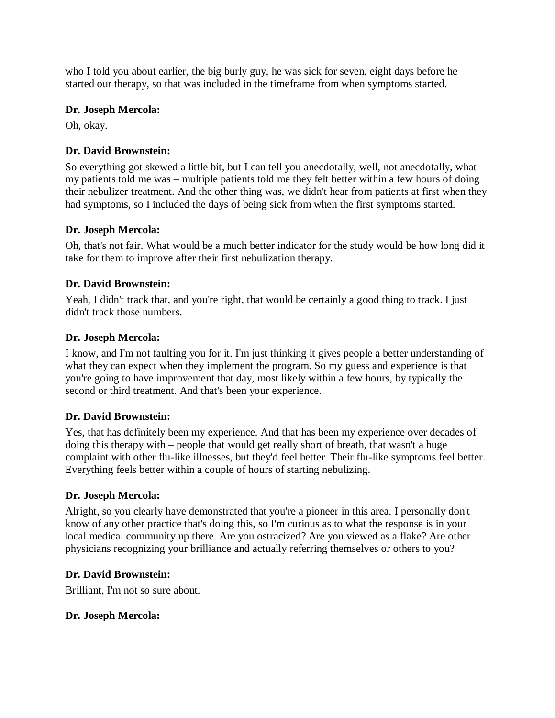who I told you about earlier, the big burly guy, he was sick for seven, eight days before he started our therapy, so that was included in the timeframe from when symptoms started.

### **Dr. Joseph Mercola:**

Oh, okay.

# **Dr. David Brownstein:**

So everything got skewed a little bit, but I can tell you anecdotally, well, not anecdotally, what my patients told me was – multiple patients told me they felt better within a few hours of doing their nebulizer treatment. And the other thing was, we didn't hear from patients at first when they had symptoms, so I included the days of being sick from when the first symptoms started.

### **Dr. Joseph Mercola:**

Oh, that's not fair. What would be a much better indicator for the study would be how long did it take for them to improve after their first nebulization therapy.

# **Dr. David Brownstein:**

Yeah, I didn't track that, and you're right, that would be certainly a good thing to track. I just didn't track those numbers.

# **Dr. Joseph Mercola:**

I know, and I'm not faulting you for it. I'm just thinking it gives people a better understanding of what they can expect when they implement the program. So my guess and experience is that you're going to have improvement that day, most likely within a few hours, by typically the second or third treatment. And that's been your experience.

# **Dr. David Brownstein:**

Yes, that has definitely been my experience. And that has been my experience over decades of doing this therapy with – people that would get really short of breath, that wasn't a huge complaint with other flu-like illnesses, but they'd feel better. Their flu-like symptoms feel better. Everything feels better within a couple of hours of starting nebulizing.

### **Dr. Joseph Mercola:**

Alright, so you clearly have demonstrated that you're a pioneer in this area. I personally don't know of any other practice that's doing this, so I'm curious as to what the response is in your local medical community up there. Are you ostracized? Are you viewed as a flake? Are other physicians recognizing your brilliance and actually referring themselves or others to you?

### **Dr. David Brownstein:**

Brilliant, I'm not so sure about.

### **Dr. Joseph Mercola:**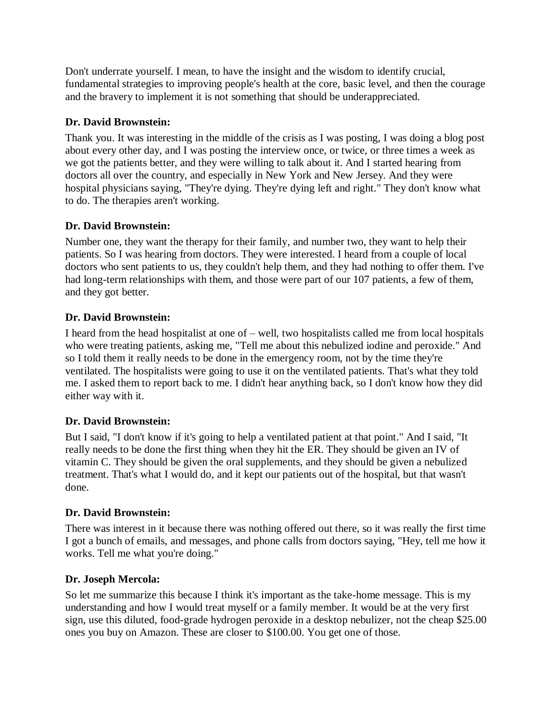Don't underrate yourself. I mean, to have the insight and the wisdom to identify crucial, fundamental strategies to improving people's health at the core, basic level, and then the courage and the bravery to implement it is not something that should be underappreciated.

# **Dr. David Brownstein:**

Thank you. It was interesting in the middle of the crisis as I was posting, I was doing a blog post about every other day, and I was posting the interview once, or twice, or three times a week as we got the patients better, and they were willing to talk about it. And I started hearing from doctors all over the country, and especially in New York and New Jersey. And they were hospital physicians saying, "They're dying. They're dying left and right." They don't know what to do. The therapies aren't working.

# **Dr. David Brownstein:**

Number one, they want the therapy for their family, and number two, they want to help their patients. So I was hearing from doctors. They were interested. I heard from a couple of local doctors who sent patients to us, they couldn't help them, and they had nothing to offer them. I've had long-term relationships with them, and those were part of our 107 patients, a few of them, and they got better.

# **Dr. David Brownstein:**

I heard from the head hospitalist at one of – well, two hospitalists called me from local hospitals who were treating patients, asking me, "Tell me about this nebulized iodine and peroxide." And so I told them it really needs to be done in the emergency room, not by the time they're ventilated. The hospitalists were going to use it on the ventilated patients. That's what they told me. I asked them to report back to me. I didn't hear anything back, so I don't know how they did either way with it.

# **Dr. David Brownstein:**

But I said, "I don't know if it's going to help a ventilated patient at that point." And I said, "It really needs to be done the first thing when they hit the ER. They should be given an IV of vitamin C. They should be given the oral supplements, and they should be given a nebulized treatment. That's what I would do, and it kept our patients out of the hospital, but that wasn't done.

### **Dr. David Brownstein:**

There was interest in it because there was nothing offered out there, so it was really the first time I got a bunch of emails, and messages, and phone calls from doctors saying, "Hey, tell me how it works. Tell me what you're doing."

### **Dr. Joseph Mercola:**

So let me summarize this because I think it's important as the take-home message. This is my understanding and how I would treat myself or a family member. It would be at the very first sign, use this diluted, food-grade hydrogen peroxide in a desktop nebulizer, not the cheap \$25.00 ones you buy on Amazon. These are closer to \$100.00. You get one of those.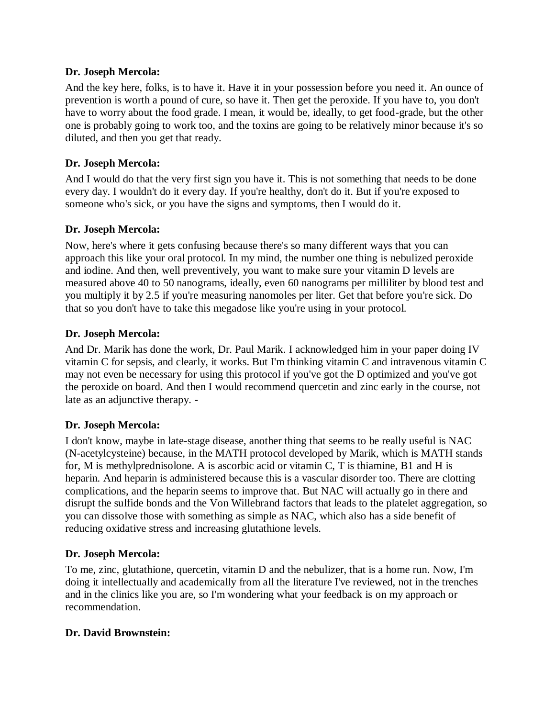And the key here, folks, is to have it. Have it in your possession before you need it. An ounce of prevention is worth a pound of cure, so have it. Then get the peroxide. If you have to, you don't have to worry about the food grade. I mean, it would be, ideally, to get food-grade, but the other one is probably going to work too, and the toxins are going to be relatively minor because it's so diluted, and then you get that ready.

### **Dr. Joseph Mercola:**

And I would do that the very first sign you have it. This is not something that needs to be done every day. I wouldn't do it every day. If you're healthy, don't do it. But if you're exposed to someone who's sick, or you have the signs and symptoms, then I would do it.

### **Dr. Joseph Mercola:**

Now, here's where it gets confusing because there's so many different ways that you can approach this like your oral protocol. In my mind, the number one thing is nebulized peroxide and iodine. And then, well preventively, you want to make sure your vitamin D levels are measured above 40 to 50 nanograms, ideally, even 60 nanograms per milliliter by blood test and you multiply it by 2.5 if you're measuring nanomoles per liter. Get that before you're sick. Do that so you don't have to take this megadose like you're using in your protocol.

### **Dr. Joseph Mercola:**

And Dr. Marik has done the work, Dr. Paul Marik. I acknowledged him in your paper doing IV vitamin C for sepsis, and clearly, it works. But I'm thinking vitamin C and intravenous vitamin C may not even be necessary for using this protocol if you've got the D optimized and you've got the peroxide on board. And then I would recommend quercetin and zinc early in the course, not late as an adjunctive therapy. -

### **Dr. Joseph Mercola:**

I don't know, maybe in late-stage disease, another thing that seems to be really useful is NAC (N-acetylcysteine) because, in the MATH protocol developed by Marik, which is MATH stands for, M is methylprednisolone. A is ascorbic acid or vitamin C, T is thiamine, B1 and H is heparin. And heparin is administered because this is a vascular disorder too. There are clotting complications, and the heparin seems to improve that. But NAC will actually go in there and disrupt the sulfide bonds and the Von Willebrand factors that leads to the platelet aggregation, so you can dissolve those with something as simple as NAC, which also has a side benefit of reducing oxidative stress and increasing glutathione levels.

### **Dr. Joseph Mercola:**

To me, zinc, glutathione, quercetin, vitamin D and the nebulizer, that is a home run. Now, I'm doing it intellectually and academically from all the literature I've reviewed, not in the trenches and in the clinics like you are, so I'm wondering what your feedback is on my approach or recommendation.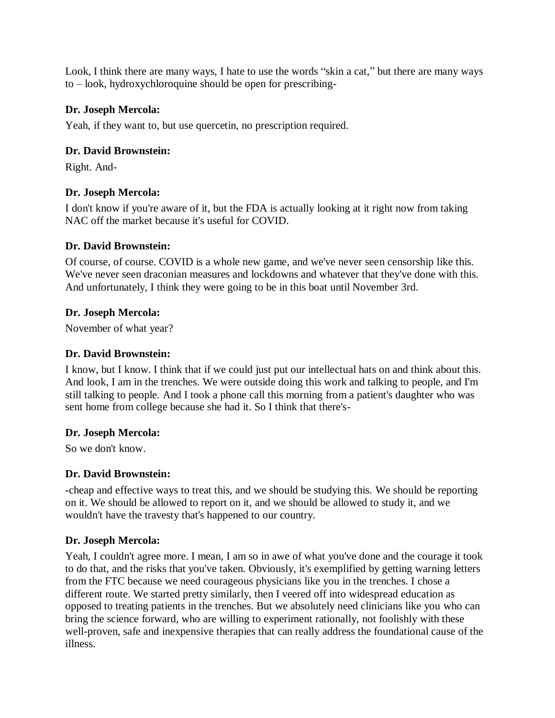Look, I think there are many ways, I hate to use the words "skin a cat," but there are many ways to – look, hydroxychloroquine should be open for prescribing-

### **Dr. Joseph Mercola:**

Yeah, if they want to, but use quercetin, no prescription required.

### **Dr. David Brownstein:**

Right. And-

### **Dr. Joseph Mercola:**

I don't know if you're aware of it, but the FDA is actually looking at it right now from taking NAC off the market because it's useful for COVID.

### **Dr. David Brownstein:**

Of course, of course. COVID is a whole new game, and we've never seen censorship like this. We've never seen draconian measures and lockdowns and whatever that they've done with this. And unfortunately, I think they were going to be in this boat until November 3rd.

### **Dr. Joseph Mercola:**

November of what year?

### **Dr. David Brownstein:**

I know, but I know. I think that if we could just put our intellectual hats on and think about this. And look, I am in the trenches. We were outside doing this work and talking to people, and I'm still talking to people. And I took a phone call this morning from a patient's daughter who was sent home from college because she had it. So I think that there's-

### **Dr. Joseph Mercola:**

So we don't know.

### **Dr. David Brownstein:**

-cheap and effective ways to treat this, and we should be studying this. We should be reporting on it. We should be allowed to report on it, and we should be allowed to study it, and we wouldn't have the travesty that's happened to our country.

### **Dr. Joseph Mercola:**

Yeah, I couldn't agree more. I mean, I am so in awe of what you've done and the courage it took to do that, and the risks that you've taken. Obviously, it's exemplified by getting warning letters from the FTC because we need courageous physicians like you in the trenches. I chose a different route. We started pretty similarly, then I veered off into widespread education as opposed to treating patients in the trenches. But we absolutely need clinicians like you who can bring the science forward, who are willing to experiment rationally, not foolishly with these well-proven, safe and inexpensive therapies that can really address the foundational cause of the illness.